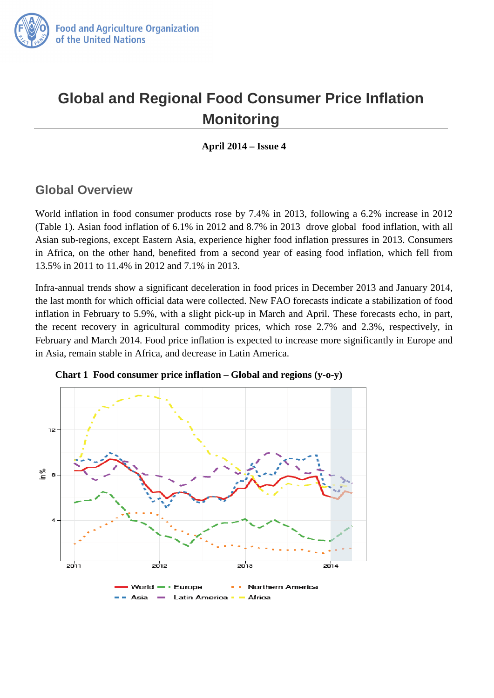

# **Global and Regional Food Consumer Price Inflation Monitoring**

**April 2014 – Issue 4** 

### **Global Overview**

World inflation in food consumer products rose by 7.4% in 2013, following a 6.2% increase in 2012 (Table 1). Asian food inflation of 6.1% in 2012 and 8.7% in 2013 drove global food inflation, with all Asian sub-regions, except Eastern Asia, experience higher food inflation pressures in 2013. Consumers in Africa, on the other hand, benefited from a second year of easing food inflation, which fell from 13.5% in 2011 to 11.4% in 2012 and 7.1% in 2013.

Infra-annual trends show a significant deceleration in food prices in December 2013 and January 2014, the last month for which official data were collected. New FAO forecasts indicate a stabilization of food inflation in February to 5.9%, with a slight pick-up in March and April. These forecasts echo, in part, the recent recovery in agricultural commodity prices, which rose 2.7% and 2.3%, respectively, in February and March 2014. Food price inflation is expected to increase more significantly in Europe and in Asia, remain stable in Africa, and decrease in Latin America.



 **Chart 1 Food consumer price inflation – Global and regions (y-o-y)**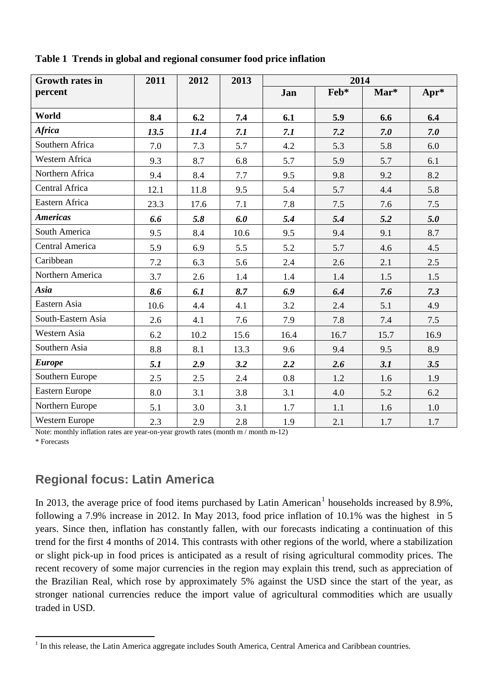| <b>Growth rates in</b> | 2011 | 2012 | 2013 | 2014 |      |      |      |
|------------------------|------|------|------|------|------|------|------|
| percent                |      |      |      | Jan  | Feb* | Mar* | Apr* |
| World                  | 8.4  | 6.2  | 7.4  | 6.1  | 5.9  | 6.6  | 6.4  |
| <b>Africa</b>          | 13.5 | 11.4 | 7.1  | 7.1  | 7.2  | 7.0  | 7.0  |
| Southern Africa        | 7.0  | 7.3  | 5.7  | 4.2  | 5.3  | 5.8  | 6.0  |
| Western Africa         | 9.3  | 8.7  | 6.8  | 5.7  | 5.9  | 5.7  | 6.1  |
| Northern Africa        | 9.4  | 8.4  | 7.7  | 9.5  | 9.8  | 9.2  | 8.2  |
| Central Africa         | 12.1 | 11.8 | 9.5  | 5.4  | 5.7  | 4.4  | 5.8  |
| Eastern Africa         | 23.3 | 17.6 | 7.1  | 7.8  | 7.5  | 7.6  | 7.5  |
| <b>Americas</b>        | 6.6  | 5.8  | 6.0  | 5.4  | 5.4  | 5.2  | 5.0  |
| South America          | 9.5  | 8.4  | 10.6 | 9.5  | 9.4  | 9.1  | 8.7  |
| Central America        | 5.9  | 6.9  | 5.5  | 5.2  | 5.7  | 4.6  | 4.5  |
| Caribbean              | 7.2  | 6.3  | 5.6  | 2.4  | 2.6  | 2.1  | 2.5  |
| Northern America       | 3.7  | 2.6  | 1.4  | 1.4  | 1.4  | 1.5  | 1.5  |
| Asia                   | 8.6  | 6.1  | 8.7  | 6.9  | 6.4  | 7.6  | 7.3  |
| Eastern Asia           | 10.6 | 4.4  | 4.1  | 3.2  | 2.4  | 5.1  | 4.9  |
| South-Eastern Asia     | 2.6  | 4.1  | 7.6  | 7.9  | 7.8  | 7.4  | 7.5  |
| Western Asia           | 6.2  | 10.2 | 15.6 | 16.4 | 16.7 | 15.7 | 16.9 |
| Southern Asia          | 8.8  | 8.1  | 13.3 | 9.6  | 9.4  | 9.5  | 8.9  |
| <b>Europe</b>          | 5.1  | 2.9  | 3.2  | 2.2  | 2.6  | 3.1  | 3.5  |
| Southern Europe        | 2.5  | 2.5  | 2.4  | 0.8  | 1.2  | 1.6  | 1.9  |
| Eastern Europe         | 8.0  | 3.1  | 3.8  | 3.1  | 4.0  | 5.2  | 6.2  |
| Northern Europe        | 5.1  | 3.0  | 3.1  | 1.7  | 1.1  | 1.6  | 1.0  |
| Western Europe         | 2.3  | 2.9  | 2.8  | 1.9  | 2.1  | 1.7  | 1.7  |

**Table 1 Trends in global and regional consumer food price inflation** 

Note: monthly inflation rates are year-on-year growth rates (month m / month m-12)

\* Forecasts

 $\overline{a}$ 

### **Regional focus: Latin America**

In 20[1](#page-1-0)3, the average price of food items purchased by Latin American<sup>1</sup> households increased by 8.9%, following a 7.9% increase in 2012. In May 2013, food price inflation of 10.1% was the highest in 5 years. Since then, inflation has constantly fallen, with our forecasts indicating a continuation of this trend for the first 4 months of 2014. This contrasts with other regions of the world, where a stabilization or slight pick-up in food prices is anticipated as a result of rising agricultural commodity prices. The recent recovery of some major currencies in the region may explain this trend, such as appreciation of the Brazilian Real, which rose by approximately 5% against the USD since the start of the year, as stronger national currencies reduce the import value of agricultural commodities which are usually traded in USD.

<span id="page-1-0"></span> $1$  In this release, the Latin America aggregate includes South America, Central America and Caribbean countries.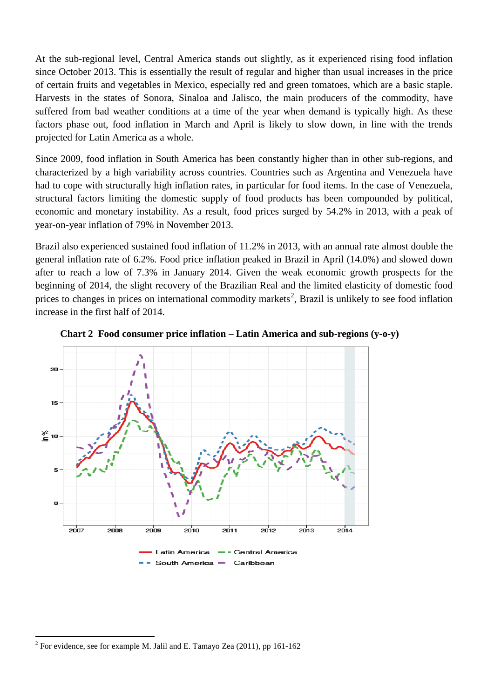At the sub-regional level, Central America stands out slightly, as it experienced rising food inflation since October 2013. This is essentially the result of regular and higher than usual increases in the price of certain fruits and vegetables in Mexico, especially red and green tomatoes, which are a basic staple. Harvests in the states of Sonora, Sinaloa and Jalisco, the main producers of the commodity, have suffered from bad weather conditions at a time of the year when demand is typically high. As these factors phase out, food inflation in March and April is likely to slow down, in line with the trends projected for Latin America as a whole.

Since 2009, food inflation in South America has been constantly higher than in other sub-regions, and characterized by a high variability across countries. Countries such as Argentina and Venezuela have had to cope with structurally high inflation rates, in particular for food items. In the case of Venezuela, structural factors limiting the domestic supply of food products has been compounded by political, economic and monetary instability. As a result, food prices surged by 54.2% in 2013, with a peak of year-on-year inflation of 79% in November 2013.

Brazil also experienced sustained food inflation of 11.2% in 2013, with an annual rate almost double the general inflation rate of 6.2%. Food price inflation peaked in Brazil in April (14.0%) and slowed down after to reach a low of 7.3% in January 2014. Given the weak economic growth prospects for the beginning of 2014, the slight recovery of the Brazilian Real and the limited elasticity of domestic food prices to changes in prices on international commodity markets<sup>[2](#page-2-0)</sup>, Brazil is unlikely to see food inflation increase in the first half of 2014.



**Chart 2 Food consumer price inflation – Latin America and sub-regions (y-o-y)**

 $\overline{a}$ 

<span id="page-2-0"></span> $2$  For evidence, see for example M. Jalil and E. Tamayo Zea (2011), pp 161-162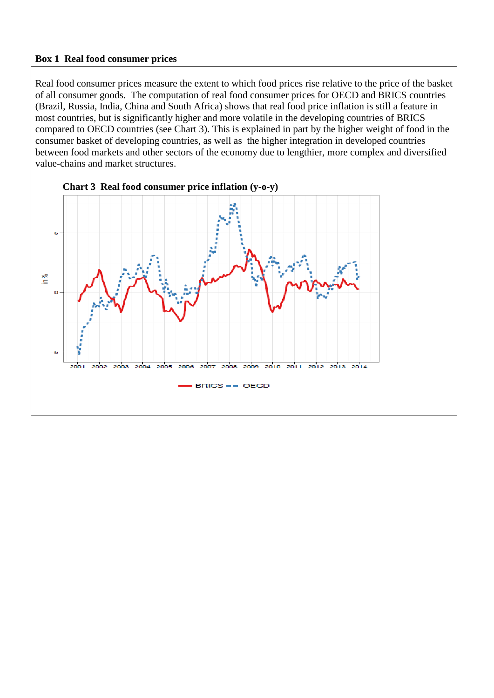#### **Box 1 Real food consumer prices**

Real food consumer prices measure the extent to which food prices rise relative to the price of the basket of all consumer goods. The computation of real food consumer prices for OECD and BRICS countries (Brazil, Russia, India, China and South Africa) shows that real food price inflation is still a feature in most countries, but is significantly higher and more volatile in the developing countries of BRICS compared to OECD countries (see Chart 3). This is explained in part by the higher weight of food in the consumer basket of developing countries, as well as the higher integration in developed countries between food markets and other sectors of the economy due to lengthier, more complex and diversified value-chains and market structures.



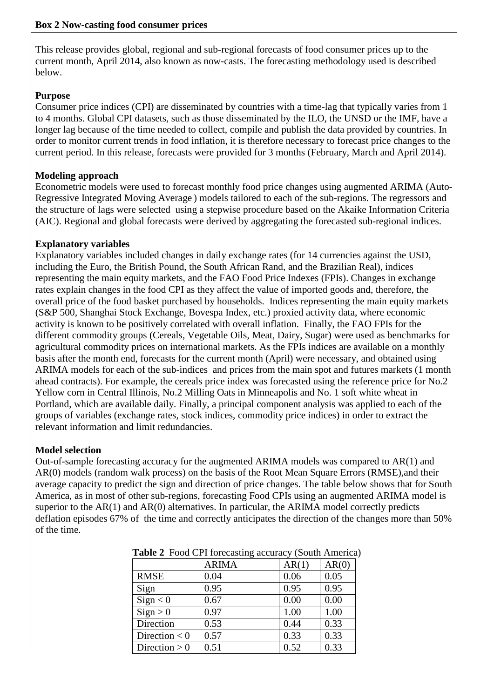This release provides global, regional and sub-regional forecasts of food consumer prices up to the current month, April 2014, also known as now-casts. The forecasting methodology used is described below.

#### **Purpose**

Consumer price indices (CPI) are disseminated by countries with a time-lag that typically varies from 1 to 4 months. Global CPI datasets, such as those disseminated by the ILO, the UNSD or the IMF, have a longer lag because of the time needed to collect, compile and publish the data provided by countries. In order to monitor current trends in food inflation, it is therefore necessary to forecast price changes to the current period. In this release, forecasts were provided for 3 months (February, March and April 2014).

#### **Modeling approach**

Econometric models were used to forecast monthly food price changes using augmented ARIMA (Auto-Regressive Integrated Moving Average ) models tailored to each of the sub-regions. The regressors and the structure of lags were selected using a stepwise procedure based on the Akaike Information Criteria (AIC). Regional and global forecasts were derived by aggregating the forecasted sub-regional indices.

#### **Explanatory variables**

Explanatory variables included changes in daily exchange rates (for 14 currencies against the USD, including the Euro, the British Pound, the South African Rand, and the Brazilian Real), indices representing the main equity markets, and the FAO Food Price Indexes (FPIs). Changes in exchange rates explain changes in the food CPI as they affect the value of imported goods and, therefore, the overall price of the food basket purchased by households. Indices representing the main equity markets (S&P 500, Shanghai Stock Exchange, Bovespa Index, etc.) proxied activity data, where economic activity is known to be positively correlated with overall inflation. Finally, the FAO FPIs for the different commodity groups (Cereals, Vegetable Oils, Meat, Dairy, Sugar) were used as benchmarks for agricultural commodity prices on international markets. As the FPIs indices are available on a monthly basis after the month end, forecasts for the current month (April) were necessary, and obtained using ARIMA models for each of the sub-indices and prices from the main spot and futures markets (1 month ahead contracts). For example, the cereals price index was forecasted using the reference price for No.2 Yellow corn in Central Illinois, No.2 Milling Oats in Minneapolis and No. 1 soft white wheat in Portland, which are available daily. Finally, a principal component analysis was applied to each of the groups of variables (exchange rates, stock indices, commodity price indices) in order to extract the relevant information and limit redundancies.

#### **Model selection**

Out-of-sample forecasting accuracy for the augmented ARIMA models was compared to AR(1) and AR(0) models (random walk process) on the basis of the Root Mean Square Errors (RMSE),and their average capacity to predict the sign and direction of price changes. The table below shows that for South America, as in most of other sub-regions, forecasting Food CPIs using an augmented ARIMA model is superior to the AR(1) and AR(0) alternatives. In particular, the ARIMA model correctly predicts deflation episodes 67% of the time and correctly anticipates the direction of the changes more than 50% of the time.

| $\frac{1}{2}$ and $\frac{1}{2}$ 100 $\frac{1}{2}$ 1101 company accuracy (bound 1 michel |              |       |       |  |  |  |  |
|-----------------------------------------------------------------------------------------|--------------|-------|-------|--|--|--|--|
|                                                                                         | <b>ARIMA</b> | AR(1) | AR(0) |  |  |  |  |
| <b>RMSE</b>                                                                             | 0.04         | 0.06  | 0.05  |  |  |  |  |
| Sign                                                                                    | 0.95         | 0.95  | 0.95  |  |  |  |  |
| Sign < 0                                                                                | 0.67         | 0.00  | 0.00  |  |  |  |  |
| Sign > 0                                                                                | 0.97         | 1.00  | 1.00  |  |  |  |  |
| Direction                                                                               | 0.53         | 0.44  | 0.33  |  |  |  |  |
| Direction $< 0$                                                                         | 0.57         | 0.33  | 0.33  |  |  |  |  |
| Direction $> 0$                                                                         | 0.51         | 0.52  | 0.33  |  |  |  |  |

**Table 2** Food CPI forecasting accuracy (South America)